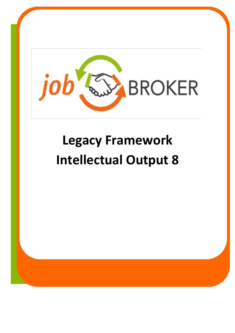

# **Legacy Framework Intellectual Output 8**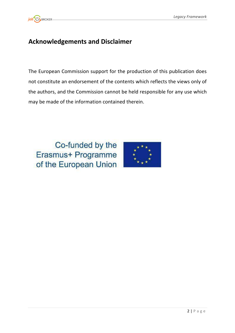

# **Acknowledgements and Disclaimer**

The European Commission support for the production of this publication does not constitute an endorsement of the contents which reflects the views only of the authors, and the Commission cannot be held responsible for any use which may be made of the information contained therein.



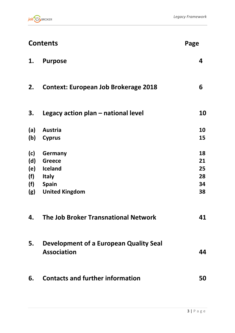|     | <b>Contents</b>                                              | Page |
|-----|--------------------------------------------------------------|------|
| 1.  | <b>Purpose</b>                                               | 4    |
| 2.  | <b>Context: European Job Brokerage 2018</b>                  | 6    |
| 3.  | Legacy action plan – national level                          | 10   |
| (a) | <b>Austria</b>                                               | 10   |
| (b) | <b>Cyprus</b>                                                | 15   |
| (c) | Germany                                                      | 18   |
| (d) | <b>Greece</b>                                                | 21   |
| (e) | Iceland                                                      | 25   |
| (f) | <b>Italy</b>                                                 | 28   |
| (f) | Spain                                                        | 34   |
| (g) | <b>United Kingdom</b>                                        | 38   |
| 4.  | <b>The Job Broker Transnational Network</b>                  | 41   |
| 5.  | Development of a European Quality Seal<br><b>Association</b> | 44   |
| 6.  | <b>Contacts and further information</b>                      | 50   |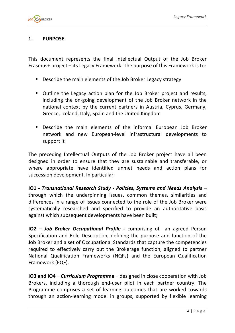

#### **1. PURPOSE**

This document represents the final Intellectual Output of the Job Broker Erasmus+ project  $-$  its Legacy Framework. The purpose of this Framework is to:

- Describe the main elements of the Job Broker Legacy strategy
- Outline the Legacy action plan for the Job Broker project and results, including the on-going development of the Job Broker network in the national context by the current partners in Austria, Cyprus, Germany, Greece, Iceland, Italy, Spain and the United Kingdom
- Describe the main elements of the informal European Job Broker network and new European-level infrastructural developments to support it

The preceding Intellectual Outputs of the Job Broker project have all been designed in order to ensure that they are sustainable and transferable, or where appropriate have identified unmet needs and action plans for succession development. In particular:

**IO1 -** *Transnational Research Study - Policies, Systems and Needs Analysis –* through which the underpinning issues, common themes, similarities and differences in a range of issues connected to the role of the Job Broker were systematically researched and specified to provide an authoritative basis against which subsequent developments have been built;

**IO2** – *Job Broker Occupational Profile* - comprising of an agreed Person Specification and Role Description, defining the purpose and function of the Job Broker and a set of Occupational Standards that capture the competencies required to effectively carry out the Brokerage function, aligned to partner National Qualification Frameworks (NQFs) and the European Qualification Framework (EQF).

**IO3 and IO4 –** *Curriculum Programme* – designed in close cooperation with Job Brokers, including a thorough end-user pilot in each partner country. The Programme comprises a set of learning outcomes that are worked towards through an action-learning model in groups, supported by flexible learning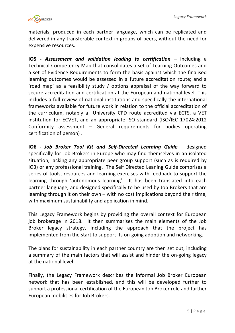

materials, produced in each partner language, which can be replicated and delivered in any transferable context in groups of peers, without the need for expensive resources.

**IO5 -** *Assessment and validation leading to certification* – including a Technical Competency Map that consolidates a set of Learning Outcomes and a set of Evidence Requirements to form the basis against which the finalised learning outcomes would be assessed in a future accreditation route; and a 'road map' as a feasibility study / options appraisal of the way forward to secure accreditation and certification at the European and national level. This includes a full review of national institutions and specifically the international frameworks available for future work in relation to the official accreditation of the curriculum, notably a University CPD route accredited via ECTS, a VET institution for ECVET, and an appropriate ISO standard (ISO/IEC 17024:2012 Conformity assessment  $-$  General requirements for bodies operating certification of person) .

**IO6** - *Job Broker Tool Kit and Self-Directed Learning Guide* – designed specifically for Job Brokers in Europe who may find themselves in an isolated situation, lacking any appropriate peer group support (such as is required by IO3) or any professional training. The Self Directed Leaning Guide comprises a series of tools, resources and learning exercises with feedback to support the learning through 'autonomous learning'. It has been translated into each partner language, and designed specifically to be used by Job Brokers that are learning through it on their own – with no cost implications beyond their time, with maximum sustainability and application in mind.

This Legacy Framework begins by providing the overall context for European job brokerage in 2018. It then summarises the main elements of the Job Broker legacy strategy, including the approach that the project has implemented from the start to support its on-going adoption and networking.

The plans for sustainability in each partner country are then set out, including a summary of the main factors that will assist and hinder the on-going legacy at the national level.

Finally, the Legacy Framework describes the informal Job Broker European network that has been established, and this will be developed further to support a professional certification of the European Job Broker role and further European mobilities for Job Brokers.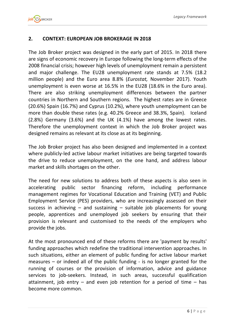



#### **2. CONTEXT: EUROPEAN JOB BROKERAGE IN 2018**

The Job Broker project was designed in the early part of 2015. In 2018 there are signs of economic recovery in Europe following the long-term effects of the 2008 financial crisis; however high levels of unemployment remain a persistent and major challenge. The EU28 unemployment rate stands at 7.5% (18.2) million people) and the Euro area 8.8% (*Eurostat*, November 2017). Youth unemployment is even worse at 16.5% in the EU28 (18.6% in the Euro area). There are also striking unemployment differences between the partner countries in Northern and Southern regions. The highest rates are in Greece (20.6%) Spain (16.7%) and Cyprus (10.2%), where youth unemployment can be more than double these rates (e.g. 40.2% Greece and 38.3%, Spain). Iceland  $(2.8%)$  Germany  $(3.6%)$  and the UK  $(4.1%)$  have among the lowest rates. Therefore the unemployment context in which the Job Broker project was designed remains as relevant at its close as at its beginning.

The Job Broker project has also been designed and implemented in a context where publicly-led active labour market initiatives are being targeted towards the drive to reduce unemployment, on the one hand, and address labour market and skills shortages on the other.

The need for new solutions to address both of these aspects is also seen in accelerating public sector financing reform, including performance management regimes for Vocational Education and Training (VET) and Public Employment Service (PES) providers, who are increasingly assessed on their success in achieving  $-$  and sustaining  $-$  suitable job placements for young people, apprentices and unemployed job seekers by ensuring that their provision is relevant and customised to the needs of the employers who provide the jobs.

At the most pronounced end of these reforms there are 'payment by results' funding approaches which redefine the traditional intervention approaches. In such situations, either an element of public funding for active labour market measures  $-$  or indeed all of the public funding  $-$  is no longer granted for the running of courses or the provision of information, advice and guidance services to job-seekers. Instead, in such areas, successful qualification attainment, job entry  $-$  and even job retention for a period of time  $-$  has become more common.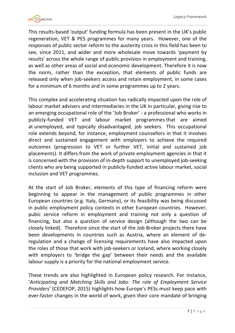

This results-based 'output' funding formula has been present in the UK's public regeneration, VET & PES programmes for many years. However, one of the responses of public sector reform to the austerity crisis in this field has been to see, since 2011, and wider and more wholesale move towards 'payment by results' across the whole range of public provision in employment and training, as well as other areas of social and economic development. Therefore it is now the norm, rather than the exception, that elements of public funds are released only when job-seekers access and retain employment, in some cases for a minimum of 6 months and in some programmes up to 2 years.

This complex and accelerating situation has radically impacted upon the role of labour market advisers and intermediaries in the UK in particular, giving rise to an emerging occupational role of the 'Job Broker' - a professional who works in publicly-funded VET and labour market programmes that are aimed at unemployed, and typically disadvantaged, job seekers. This occupational role extends beyond, for instance, employment counsellors in that it involves direct and sustained engagement with employers to achieve the required outcomes (progression to VET or further VET, initial and sustained job placements). It differs from the work of private employment agencies in that it is concerned with the provision of in-depth support to unemployed job-seeking clients who are being supported in publicly-funded active labour market, social inclusion and VET programmes.

At the start of Job Broker, elements of this type of financing reform were beginning to appear in the management of public programmes in other European countries (e.g. Italy, Germany), or its feasibility was being discussed in public employment policy contexts in other European countries. However, pubic service reform in employment and training not only a question of financing, but also a question of service design (although the two can be closely linked). Therefore since the start of the Job Broker projects there have been developments in countries such as Austria, where an element of deregulation and a change of licensing requirements have also impacted upon the roles of those that work with job-seekers or Iceland, where working closely with employers to 'bridge the gap' between their needs and the available labour supply is a priority for the national employment service.

These trends are also highlighted in European policy research. For instance, 'Anticipating and Matching Skills and Jobs: The role of Employment Service *Providers'* (CEDEFOP, 2015) highlights how Europe's PESs must keep pace with ever-faster changes in the world of work, given their core mandate of bringing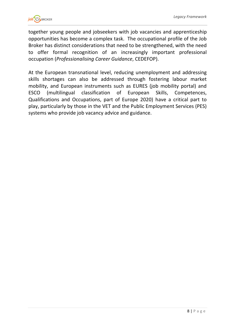

together young people and jobseekers with job vacancies and apprenticeship opportunities has become a complex task. The occupational profile of the Job Broker has distinct considerations that need to be strengthened, with the need to offer formal recognition of an increasingly important professional occupation (*Professionalising Career Guidance*, CEDEFOP).

At the European transnational level, reducing unemployment and addressing skills shortages can also be addressed through fostering labour market mobility, and European instruments such as EURES (job mobility portal) and ESCO (multilingual classification of European Skills, Competences, Qualifications and Occupations, part of Europe 2020) have a critical part to play, particularly by those in the VET and the Public Employment Services (PES) systems who provide job vacancy advice and guidance.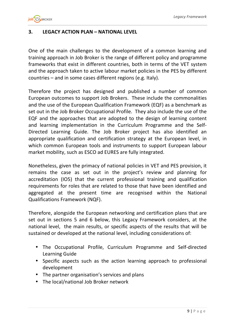

#### **3. LEGACY ACTION PLAN – NATIONAL LEVEL**

One of the main challenges to the development of a common learning and training approach in Job Broker is the range of different policy and programme frameworks that exist in different countries, both in terms of the VET system and the approach taken to active labour market policies in the PES by different countries  $-$  and in some cases different regions (e.g. Italy).

Therefore the project has designed and published a number of common European outcomes to support Job Brokers. These include the commonalities and the use of the European Qualification Framework (EQF) as a benchmark as set out in the Job Broker Occupational Profile. They also include the use of the EQF and the approaches that are adopted to the design of learning content and learning implementation in the Curriculum Programme and the Self-Directed Learning Guide. The Job Broker project has also identified an appropriate qualification and certification strategy at the European level, in which common European tools and instruments to support European labour market mobility, such as ESCO ad EURES are fully integrated.

Nonetheless, given the primacy of national policies in VET and PES provision, it remains the case as set out in the project's review and planning for accreditation (IO5) that the current professional training and qualification requirements for roles that are related to those that have been identified and aggregated at the present time are recognised within the National Qualifications Framework (NQF).

Therefore, alongside the European networking and certification plans that are set out in sections 5 and 6 below, this Legacy Framework considers, at the national level, the main results, or specific aspects of the results that will be sustained or developed at the national level, including considerations of:

- The Occupational Profile, Curriculum Programme and Self-directed Learning Guide
- Specific aspects such as the action learning approach to professional development
- The partner organisation's services and plans
- The local/national Job Broker network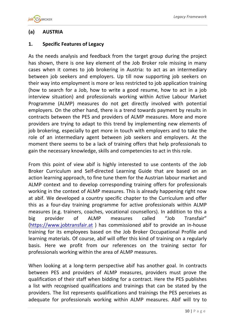

#### **(a) AUSTRIA**

#### 1. Specific Features of Legacy

As the needs analysis and feedback from the target group during the project has shown, there is one key element of the Job Broker role missing in many cases when it comes to job brokering in Austria: to act as an intermediary between job seekers and employers. Up till now supporting job seekers on their way into employment is more or less restricted to job application training (how to search for a Job, how to write a good resume, how to act in a job interview situation) and professionals working within Active Labour Market Programme (ALMP) measures do not get directly involved with potential employers. On the other hand, there is a trend towards payment by results in contracts between the PES and providers of ALMP measures. More and more providers are trying to adapt to this trend by implementing new elements of job brokering, especially to get more in touch with employers and to take the role of an intermediary agent between job seekers and employers. At the moment there seems to be a lack of training offers that help professionals to gain the necessary knowledge, skills and competencies to act in this role.

From this point of view abif is highly interested to use contents of the Job Broker Curriculum and Self-directed Learning Guide that are based on an action learning approach, to fine tune them for the Austrian labour market and ALMP context and to develop corresponding training offers for professionals working in the context of ALMP measures. This is already happening right now at abif. We developed a country specific chapter to the Curriculum and offer this as a four-day training programme for active professionals within ALMP measures (e.g. trainers, coaches, vocational counsellors). In addition to this a big provider of ALMP measures called "Job Transfair" (https://www.jobtransfair.at) has commissioned abif to provide an in-house training for its employees based on the Job Broker Occupational Profile and learning materials. Of course, abif will offer this kind of training on a regularly basis. Here we profit from our references on the training sector for professionals working within the area of ALMP measures.

When looking at a long-term perspective abif has another goal. In contracts between PES and providers of ALMP measures, providers must prove the qualification of their staff when bidding for a contract. Here the PES publishes a list with recognised qualifications and trainings that can be stated by the providers. The list represents qualifications and trainings the PES perceives as adequate for professionals working within ALMP measures. Abif will try to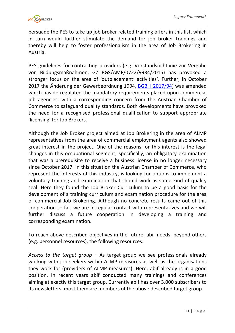persuade the PES to take up job broker related training offers in this list, which in turn would further stimulate the demand for job broker trainings and thereby will help to foster professionalism in the area of Job Brokering in Austria. 

PES guidelines for contracting providers (e.g. Vorstandsrichtlinie zur Vergabe von Bildungsmaßnahmen, GZ BGS/AMF/0722/9934/2015) has provoked a stronger focus on the area of 'outplacement' activities'. Further, in October 2017 the Änderung der Gewerbeordnung 1994, BGBI I 2017/94) was amended which has de-regulated the mandatory requirements placed upon commercial job agencies, with a corresponding concern from the Austrian Chamber of Commerce to safeguard quality standards. Both developments have provoked the need for a recognised professional qualification to support appropriate 'licensing' for Job Brokers.

Although the Job Broker project aimed at Job Brokering in the area of ALMP representatives from the area of commercial employment agents also showed great interest in the project. One of the reasons for this interest is the legal changes in this occupational segment; specifically, an obligatory examination that was a prerequisite to receive a business license in no longer necessary since October 2017. In this situation the Austrian Chamber of Commerce, who represent the interests of this industry, is looking for options to implement a voluntary training and examination that should work as some kind of quality seal. Here they found the Job Broker Curriculum to be a good basis for the development of a training curriculum and examination procedure for the area of commercial Job Brokering. Although no concrete results came out of this cooperation so far, we are in regular contact with representatives and we will further discuss a future cooperation in developing a training and corresponding examination.

To reach above described objectives in the future, abif needs, beyond others (e.g. personnel resources), the following resources:

Access to the target group – As target group we see professionals already working with job seekers within ALMP measures as well as the organisations they work for (providers of ALMP measures). Here, abif already is in a good position. In recent years abif conducted many trainings and conferences aiming at exactly this target group. Currently abif has over 3.000 subscribers to its newsletters, most them are members of the above described target group.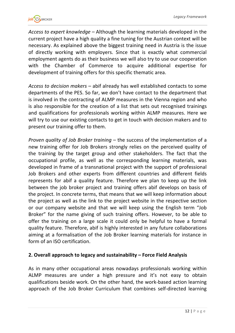

*Access to expert knowledge* – Although the learning materials developed in the current project have a high quality a fine tuning for the Austrian context will be necessary. As explained above the biggest training need in Austria is the issue of directly working with employers. Since that is exactly what commercial employment agents do as their business we will also try to use our cooperation with the Chamber of Commerce to acquire additional expertise for development of training offers for this specific thematic area.

Access to decision makers – abif already has well established contacts to some departments of the PES. So far, we don't have contact to the department that is involved in the contracting of ALMP measures in the Vienna region and who is also responsible for the creation of a list that sets out recognised trainings and qualifications for professionals working within ALMP measures. Here we will try to use our existing contacts to get in touch with decision makers and to present our training offer to them.

*Proven quality of Job Broker training* – the success of the implementation of a new training offer for Job Brokers strongly relies on the perceived quality of the training by the target group and other stakeholders. The fact that the occupational profile, as well as the corresponding learning materials, was developed in frame of a transnational project with the support of professional Job Brokers and other experts from different countries and different fields represents for abif a quality feature. Therefore we plan to keep up the link between the job broker project and training offers abif develops on basis of the project. In concrete terms, that means that we will keep information about the project as well as the link to the project website in the respective section or our company website and that we will keep using the English term "Job Broker" for the name giving of such training offers. However, to be able to offer the training on a large scale it could only be helpful to have a formal quality feature. Therefore, abif is highly interested in any future collaborations aiming at a formalisation of the Job Broker learning materials for instance in form of an ISO certification.

#### **2. Overall approach to legacy and sustainability – Force Field Analysis**

As in many other occupational areas nowadays professionals working within ALMP measures are under a high pressure and it's not easy to obtain qualifications beside work. On the other hand, the work-based action learning approach of the Job Broker Curriculum that combines self-directed learning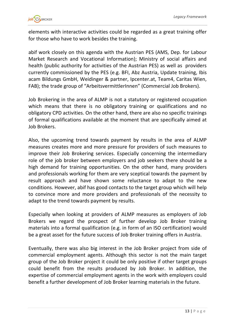

elements with interactive activities could be regarded as a great training offer for those who have to work besides the training.

abif work closely on this agenda with the Austrian PES (AMS, Dep. for Labour Market Research and Vocational Information); Ministry of social affairs and health (public authority for activities of the Austrian PES) as well as providers currently commissioned by the PES (e.g. BFI, Abz Austria, Update training, Ibis acam Bildungs GmbH, Weidinger & partner, Ipcenter.at, Team4, Caritas Wien, FAB); the trade group of "ArbeitsvermittlerInnen" (Commercial Job Brokers).

Job Brokering in the area of ALMP is not a statutory or registered occupation which means that there is no obligatory training or qualifications and no obligatory CPD activities. On the other hand, there are also no specific trainings of formal qualifications available at the moment that are specifically aimed at Job Brokers.

Also, the upcoming trend towards payment by results in the area of ALMP measures creates more and more pressure for providers of such measures to improve their Job Brokering services. Especially concerning the intermediary role of the job broker between employers and job seekers there should be a high demand for training opportunities. On the other hand, many providers and professionals working for them are very sceptical towards the payment by result approach and have shown some reluctance to adapt to the new conditions. However, abif has good contacts to the target group which will help to convince more and more providers and professionals of the necessity to adapt to the trend towards payment by results.

Especially when looking at providers of ALMP measures as employers of Job Brokers we regard the prospect of further develop Job Broker training materials into a formal qualification (e.g. in form of an ISO certification) would be a great asset for the future success of Job Broker training offers in Austria.

Eventually, there was also big interest in the Job Broker project from side of commercial employment agents. Although this sector is not the main target group of the Job Broker project it could be only positive if other target groups could benefit from the results produced by Job Broker. In addition, the expertise of commercial employment agents in the work with employers could benefit a further development of Job Broker learning materials in the future.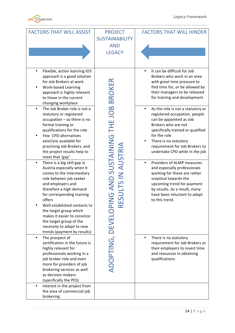

| <b>FACTORS THAT WILL ASSIST</b>                             | <b>PROJECT</b>                             | <b>FACTORS THAT WILL HINDER</b>                |
|-------------------------------------------------------------|--------------------------------------------|------------------------------------------------|
|                                                             | <b>SUSTAINABILITY</b>                      |                                                |
|                                                             | <b>AND</b>                                 |                                                |
|                                                             | <b>LEGACY</b>                              |                                                |
|                                                             |                                            |                                                |
|                                                             |                                            |                                                |
| Flexible, action learning IO3<br>٠                          |                                            | It can be difficult for Job<br>$\bullet$       |
| approach is a good solution                                 |                                            | Brokers who work in an area                    |
| for Job Brokers at work                                     |                                            | with great time pressure to                    |
| Work-based Learning                                         |                                            | find time for, or be allowed by                |
| approach is highly relevant                                 |                                            | their managers to be released                  |
| to those in the current<br>changing workplace               | <b>BROKER</b>                              | for training and development                   |
| The Job Broker role is not a<br>٠                           |                                            | As the role is not a statutory or<br>$\bullet$ |
| statutory or registered                                     | JOB                                        | registered occupation, people                  |
| occupation - so there is no                                 |                                            | can be appointed as Job                        |
| formal training or                                          |                                            | Brokers who are not                            |
| qualifications for the role                                 |                                            | specifically trained or qualified              |
| Few CPD alternatives                                        |                                            | for the role                                   |
| exist/are available for                                     |                                            | There is no statutory                          |
| practising Job Brokers, and                                 |                                            | requirement for Job Brokers to                 |
| the project results help to                                 |                                            | undertake CPD while in the job                 |
| meet that 'gap'<br>There is a big skill gap in<br>$\bullet$ | NG AND SUSTAINING THE<br>ESULTS IN AUSTRIA | Providers of ALMP measures<br>$\bullet$        |
| Austria especially when it                                  |                                            | and especially professionals                   |
| comes to the intermediary                                   |                                            | working for those are rather                   |
| role between job seeker                                     |                                            | sceptical towards the                          |
| and employers and                                           |                                            | upcoming trend for payment                     |
| therefore a high demand                                     |                                            | by results. As a result, many                  |
| for corresponding training                                  |                                            | have been reluctant to adapt                   |
| offers                                                      |                                            | to this trend.                                 |
| Well established contacts to                                | $\propto$                                  |                                                |
| the target group which                                      |                                            |                                                |
| makes it easier to convince                                 |                                            |                                                |
| the target group of the<br>necessity to adapt to new        |                                            |                                                |
| trends (payment by results)                                 |                                            |                                                |
| The prospect of<br>$\bullet$                                | ADOPTING, DEVELOP                          | There is no statutory<br>$\bullet$             |
| certification in the future is                              |                                            | requirement for Job Brokers or                 |
| highly relevant for                                         |                                            | their employers to invest time                 |
| professionals working in a                                  |                                            | and resources in obtaining                     |
| job broker role and even                                    |                                            | qualifications                                 |
| more for providers of job                                   |                                            |                                                |
| brokering services as well                                  |                                            |                                                |
| as decision makers                                          |                                            |                                                |
| (specifically the PES)<br>٠                                 |                                            |                                                |
| Interest in the project from<br>the area of commercial job  |                                            |                                                |
| brokering                                                   |                                            |                                                |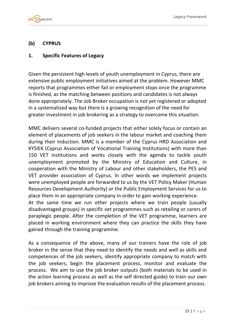

# **(b) CYPRUS**

#### 1. Specific Features of Legacy

Given the persistent high levels of youth unemployment in Cyprus, there are extensive public employment initiatives aimed at the problem. However MMC reports that programmes either fail or employment stops once the programme is finished, as the matching between positions and candidates is not always done appropriately. The Job Broker occupation is not yet registered or adopted in a systematised way but there is a growing recognition of the need for greater investment in job brokering as a strategy to overcome this situation.

MMC delivers several co-funded projects that either solely focus or contain an element of placements of job seekers in the labour market and coaching them during their induction. MMC is a member of the Cyprus HRD Association and KYSIEK (Cyprus Association of Vocational Training Institutions) with more than 150 VET institutions and works closely with the agenda to tackle youth unemployment promoted by the Ministry of Education and Culture, in cooperation with the Ministry of Labour and other stakeholders, the PES and VET provider association of Cyprus. In other words we implement projects were unemployed people are forwarded to us by the VET Policy Maker (Human Resources Development Authority) or the Public Employment Services for us to place them in an appropriate company in order to gain working experience. At the same time we run other projects where we train people (usually

disadvantaged groups) in specific vet programmes such as retailing or carers of paraplegic people. After the completion of the VET programme, learners are placed in working environment where they can practice the skills they have gained through the training programme.

As a consequence of the above, many of our trainers have the role of job broker in the sense that they need to identify the needs and well as skills and competences of the job seekers, identify appropriate company to match with the job seekers, begin the placement process, monitor and evaluate the process. We aim to use the job broker outputs (both materials to be used in the action learning process as well as the self directed guide) to train our own job brokers aiming to improve the evaluation results of the placement process.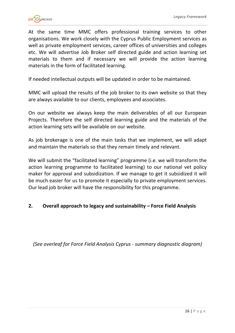

At the same time MMC offers professional training services to other organisations. We work closely with the Cyprus Public Employment services as well as private employment services, career offices of universities and colleges etc. We will advertise Job Broker self directed guide and action learning set materials to them and if necessary we will provide the action learning materials in the form of facilitated learning.

If needed intellectual outputs will be updated in order to be maintained.

MMC will upload the results of the job broker to its own website so that they are always available to our clients, employees and associates.

On our website we always keep the main deliverables of all our European Projects. Therefore the self directed learning guide and the materials of the action learning sets will be available on our website.

As job brokerage is one of the main tasks that we implement, we will adapt and maintain the materials so that they remain timely and relevant.

We will submit the "facilitated learning" programme (i.e. we will transform the action learning programme to facilitated learning) to our national vet policy maker for approval and subsidization. If we manage to get it subsidized it will be much easier for us to promote it especially to private employment services. Our lead job broker will have the responsibility for this programme.

#### **2. Overall approach to legacy and sustainability – Force Field Analysis**

*(See overleaf for Force Field Analysis Cyprus - summary diagnostic diagram)*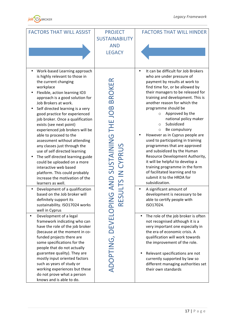

| <b>FACTORS THAT WILL ASSIST</b>                                                                                                                                                                                                                                                                                                                                                                                                                                                                                                                                                                                                                                                                                                                                                                                     | <b>PROJECT</b><br><b>SUSTAINABILITY</b>                              | <b>FACTORS THAT WILL HINDER</b>                                                                                                                                                                                                                                                                                                                                                                                                                                                                                                                                                                                                                                                                                                                                                                                                                      |
|---------------------------------------------------------------------------------------------------------------------------------------------------------------------------------------------------------------------------------------------------------------------------------------------------------------------------------------------------------------------------------------------------------------------------------------------------------------------------------------------------------------------------------------------------------------------------------------------------------------------------------------------------------------------------------------------------------------------------------------------------------------------------------------------------------------------|----------------------------------------------------------------------|------------------------------------------------------------------------------------------------------------------------------------------------------------------------------------------------------------------------------------------------------------------------------------------------------------------------------------------------------------------------------------------------------------------------------------------------------------------------------------------------------------------------------------------------------------------------------------------------------------------------------------------------------------------------------------------------------------------------------------------------------------------------------------------------------------------------------------------------------|
|                                                                                                                                                                                                                                                                                                                                                                                                                                                                                                                                                                                                                                                                                                                                                                                                                     | <b>AND</b><br><b>LEGACY</b>                                          |                                                                                                                                                                                                                                                                                                                                                                                                                                                                                                                                                                                                                                                                                                                                                                                                                                                      |
| Work-based Learning approach<br>is highly relevant to those in<br>the current changing<br>workplace<br>Flexible, action learning IO3<br>approach is a good solution for<br>Job Brokers at work.<br>Self directed learning is a very<br>good practice for experienced<br>job broker. Once a qualification<br>exists (see next point)<br>experienced job brokers will be<br>able to proceed to the<br>assessment without attending<br>any classes just through the<br>use of self directed learning<br>The self directed learning guide<br>could be uploaded on a more<br>interactive web based<br>platform. This could probably<br>increase the motivation of the<br>learners as well.<br>Development of a qualification<br>based on the Job broker will<br>definitely support its<br>sustainability. ISO17024 works | <b>BROKER</b><br>JOB<br>PING AND SUSTAINING THE<br>RESULTS IN CYPRUS | It can be difficult for Job Brokers<br>$\bullet$<br>who are under pressure of<br>payment by results at work to<br>find time for, or be allowed by<br>their managers to be released for<br>training and development. This is<br>another reason for which the<br>programme should be<br>Approved by the<br>$\circ$<br>national policy maker<br>Subsidized<br>$\circ$<br>Be compulsory<br>$\circ$<br>However as in Cyprus people are<br>used to participating in training<br>programmes that are approved<br>and subsidized by the Human<br>Resource Development Authority,<br>it will be helpful to develop a<br>training programme in the form<br>of facilitated learning and to<br>submit it to the HRDA for<br>subsidization.<br>A significant amount of<br>$\bullet$<br>development is necessary to be<br>able to certify people with<br>ISO17024. |
| well in Cyprus                                                                                                                                                                                                                                                                                                                                                                                                                                                                                                                                                                                                                                                                                                                                                                                                      |                                                                      |                                                                                                                                                                                                                                                                                                                                                                                                                                                                                                                                                                                                                                                                                                                                                                                                                                                      |
| Development of a legal<br>framework indicating who can<br>have the role of the job broker<br>(because at the moment in co-<br>funded projects there are<br>some specifications for the<br>people that do not actually<br>guarantee quality). They are<br>mostly input oriented factors<br>such as years of study or<br>working experiences but these<br>do not prove what a person<br>knows and is able to do.                                                                                                                                                                                                                                                                                                                                                                                                      | ADOPTING, DEVELOP                                                    | The role of the job broker is often<br>not recognised although it is a<br>very important one especially in<br>the era of economic crisis. A<br>qualification will work towards<br>the improvement of the role.<br>Relevant specifications are not<br>currently supported by law so<br>different managing authorities set<br>their own standards                                                                                                                                                                                                                                                                                                                                                                                                                                                                                                      |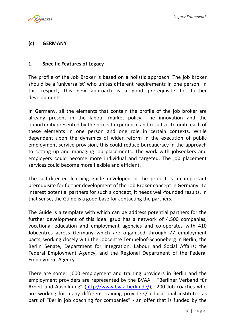

#### **(c) GERMANY**

#### **1. Specific Features of Legacy**

The profile of the Job Broker is based on a holistic approach. The job broker should be a 'universalist' who unites different requirements in one person. In this respect, this new approach is a good prerequisite for further developments.

In Germany, all the elements that contain the profile of the job broker are already present in the labour market policy. The innovation and the opportunity presented by the project experience and results is to unite each of these elements in one person and one role in certain contexts. While dependent upon the dynamics of wider reform in the execution of public employment service provision, this could reduce bureaucracy in the approach to setting up and managing job placements. The work with jobseekers and employers could become more individual and targeted. The job placement services could become more flexible and efficient.

The self-directed learning guide developed in the project is an important prerequisite for further development of the Job Broker concept in Germany. To interest potential partners for such a concept, it needs well-founded results. In that sense, the Guide is a good base for contacting the partners.

The Guide is a template with which can be address potential partners for the further development of this idea. gsub has a network of 4,500 companies, vocational education and employment agencies and co-operates with 410 Jobcentres across Germany which are organised through 77 employment pacts, working closely with the Jobcentre Tempelhof-Schöneberg in Berlin; the Berlin Senate, Department for Integration, Labour and Social Affairs; the Federal Employment Agency, and the Regional Department of the Federal Employment Agency.

There are some 1,000 employment and training providers in Berlin and the employment providers are represented by the BVAA  $-$  "Berliner Verband für Arbeit und Ausbildung"  $(http://www.bvaa-berlin.de/);$  200 Job coaches who are working for many different training providers/ educational institutes as part of "Berlin job coaching for companies" - an offer that is funded by the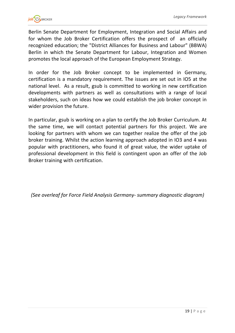

Berlin Senate Department for Employment, Integration and Social Affairs and for whom the Job Broker Certification offers the prospect of an officially recognized education; the "District Alliances for Business and Labour" (BBWA) Berlin in which the Senate Department for Labour, Integration and Women promotes the local approach of the European Employment Strategy.

In order for the Job Broker concept to be implemented in Germany, certification is a mandatory requirement. The issues are set out in IO5 at the national level. As a result, gsub is committed to working in new certification developments with partners as well as consultations with a range of local stakeholders, such on ideas how we could establish the job broker concept in wider provision the future.

In particular, gsub is working on a plan to certify the Job Broker Curriculum. At the same time, we will contact potential partners for this project. We are looking for partners with whom we can together realize the offer of the job broker training. Whilst the action learning approach adopted in IO3 and 4 was popular with practitioners, who found it of great value, the wider uptake of professional development in this field is contingent upon an offer of the Job Broker training with certification.

*(See overleaf for Force Field Analysis Germany- summary diagnostic diagram)*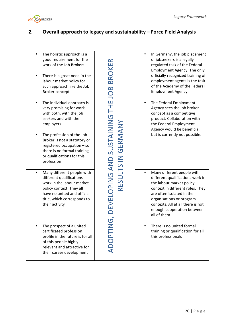

# **2.** Overall approach to legacy and sustainability – Force Field Analysis

| The holistic approach is a<br>good requirement for the<br>work of the Job Brokers<br>There is a great need in the<br>labour market policy for<br>such approach like the Job<br>Broker concept                                                                                                    |                                                                    | In Germany, the job placement<br>of jobseekers is a legally<br>regulated task of the Federal<br>Employment Agency. The only<br>officially recognized training of<br>employment agents is the task<br>of the Academy of the Federal<br>Employment Agency.                                 |
|--------------------------------------------------------------------------------------------------------------------------------------------------------------------------------------------------------------------------------------------------------------------------------------------------|--------------------------------------------------------------------|------------------------------------------------------------------------------------------------------------------------------------------------------------------------------------------------------------------------------------------------------------------------------------------|
| The individual approach is<br>٠<br>very promising for work<br>with both, with the job<br>seekers and with the<br>employers<br>The profession of the Job<br>Broker is not a statutory or<br>registered occupation - so<br>there is no formal training<br>or qualifications for this<br>profession | NG, DEVELOPING AND SUSTAINING THE JOB BROKER<br>RESULTS IN GERMANY | The Federal Employment<br>$\bullet$<br>Agency sees the job broker<br>concept as a competitive<br>product. Collaboration with<br>the Federal Employment<br>Agency would be beneficial,<br>but is currently not possible.                                                                  |
| Many different people with<br>$\bullet$<br>different qualifications<br>work in the labour market<br>policy context. They all<br>have no united and official<br>title, which corresponds to<br>their activity                                                                                     |                                                                    | $\bullet$<br>Many different people with<br>different qualifications work in<br>the labour market policy<br>context in different roles. They<br>are often isolated in their<br>organisations or program<br>contexts. All at all there is not<br>enough cooperation between<br>all of them |
| The prospect of a united<br>certificated profession<br>profile in the future is for all<br>of this people highly<br>relevant and attractive for<br>their career development                                                                                                                      | <b>ADOPT</b>                                                       | There is no united formal<br>$\bullet$<br>training or qualification for all<br>this professionals                                                                                                                                                                                        |
|                                                                                                                                                                                                                                                                                                  |                                                                    |                                                                                                                                                                                                                                                                                          |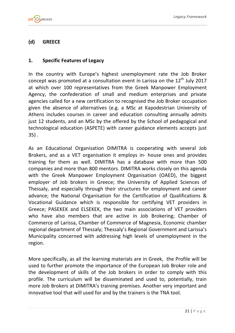

# **(d) GREECE**

#### 1. Specific Features of Legacy

In the country with Europe's highest unemployment rate the Job Broker concept was promoted at a consultation event in Larissa on the  $12<sup>th</sup>$  July 2017 at which over 100 representatives from the Greek Manpower Employment Agency, the confederation of small and medium enterprises and private agencies called for a new certification to recognised the Job Broker occupation given the absence of alternatives (e.g. a MSc at Kapodestrian University of Athens includes courses in career and education consulting annually admits just 12 students, and an MSc by the offered by the School of pedagogical and technological education (ASPETE) with career guidance elements accepts just  $35$ ).

As an Educational Organisation DIMITRA is cooperating with several Job Brokers, and as a VET organisation it employs in- house ones and provides training for them as well. DIMITRA has a database with more than 500 companies and more than 800 mentors. DIMITRA works closely on this agenda with the Greek Manpower Employment Organisation (OAED), the biggest employer of Job brokers in Greece; the University of Applied Sciences of Thessaly, and especially through their structures for employment and career advance; the National Organisation for the Certification of Qualifications & Vocational Guidance which is responsible for certifying VET providers in Greece; PASEKEK and ELSEKEK, the two main associations of VET providers who have also members that are active in Job Brokering: Chamber of Commerce of Larissa, Chamber of Commerce of Magnesia, Economic chamber regional department of Thessaly; Thessaly's Regional Government and Larissa's Municipality concerned with addressing high levels of unemployment in the region. 

More specifically, as all the learning materials are in Greek, the Profile will be used to further promote the importance of the European Job Broker role and the development of skills of the Job brokers in order to comply with this profile. The curriculum will be disseminated and used to, potentially, train more Job Brokers at DIMITRA's training premises. Another very important and innovative tool that will used for and by the trainers is the TNA tool.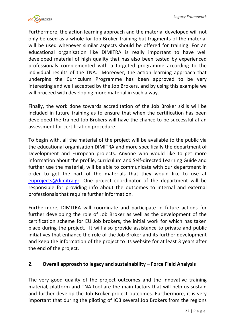

Furthermore, the action learning approach and the material developed will not only be used as a whole for Job Broker training but fragments of the material will be used whenever similar aspects should be offered for training. For an educational organisation like DIMITRA is really important to have well developed material of high quality that has also been tested by experienced professionals complemented with a targeted programme according to the individual results of the TNA. Moreover, the action learning approach that underpins the Curriculum Programme has been approved to be very interesting and well accepted by the Job Brokers, and by using this example we will proceed with developing more material in such a way.

Finally, the work done towards accreditation of the Job Broker skills will be included in future training as to ensure that when the certification has been developed the trained Job Brokers will have the chance to be successful at an assessment for certification procedure.

To begin with, all the material of the project will be available to the public via the educational organisation DIMITRA and more specifically the department of Development and European projects. Anyone who would like to get more information about the profile, curriculum and Self-directed Learning Guide and further use the material, will be able to communicate with our department in order to get the part of the materials that they would like to use at euprojects@dimitra.gr. One project coordinator of the department will be responsible for providing info about the outcomes to internal and external professionals that require further information.

Furthermore, DIMITRA will coordinate and participate in future actions for further developing the role of Job Broker as well as the development of the certification scheme for EU Job brokers, the initial work for which has taken place during the project. It will also provide assistance to private and public initiatives that enhance the role of the Job Broker and its further development and keep the information of the project to its website for at least 3 years after the end of the project.

#### **2. Overall approach to legacy and sustainability – Force Field Analysis**

The very good quality of the project outcomes and the innovative training material, platform and TNA tool are the main factors that will help us sustain and further develop the Job Broker project outcomes. Furthermore, it is very important that during the piloting of IO3 several Job Brokers from the regions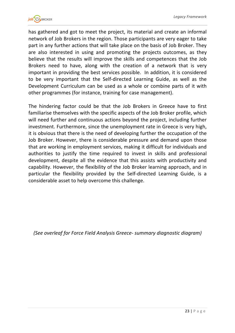

has gathered and got to meet the project, its material and create an informal network of Job Brokers in the region. Those participants are very eager to take part in any further actions that will take place on the basis of Job Broker. They are also interested in using and promoting the projects outcomes, as they believe that the results will improve the skills and competences that the Job Brokers need to have, along with the creation of a network that is very important in providing the best services possible. In addition, it is considered to be very important that the Self-directed Learning Guide, as well as the Development Curriculum can be used as a whole or combine parts of it with other programmes (for instance, training for case management).

The hindering factor could be that the Job Brokers in Greece have to first familiarise themselves with the specific aspects of the Job Broker profile, which will need further and continuous actions beyond the project, including further investment. Furthermore, since the unemployment rate in Greece is very high, it is obvious that there is the need of developing further the occupation of the Job Broker. However, there is considerable pressure and demand upon those that are working in employment services, making it difficult for individuals and authorities to justify the time required to invest in skills and professional development, despite all the evidence that this assists with productivity and capability. However, the flexibility of the Job Broker learning approach, and in particular the flexibility provided by the Self-directed Learning Guide, is a considerable asset to help overcome this challenge.

*(See overleaf for Force Field Analysis Greece- summary diagnostic diagram)*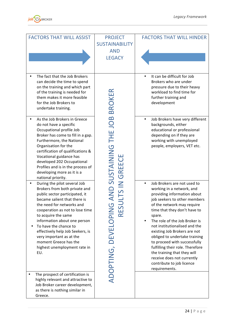

| <b>FACTORS THAT WILL ASSIST</b>                                                                                                                                                                                                                                                                                                                                                                                              | <b>PROJECT</b>                                               | <b>FACTORS THAT WILL HINDER</b>                                                                                                                                                                                                                                                                                                                                                                                                                                                                                   |
|------------------------------------------------------------------------------------------------------------------------------------------------------------------------------------------------------------------------------------------------------------------------------------------------------------------------------------------------------------------------------------------------------------------------------|--------------------------------------------------------------|-------------------------------------------------------------------------------------------------------------------------------------------------------------------------------------------------------------------------------------------------------------------------------------------------------------------------------------------------------------------------------------------------------------------------------------------------------------------------------------------------------------------|
|                                                                                                                                                                                                                                                                                                                                                                                                                              | <b>SUSTAINABILITY</b>                                        |                                                                                                                                                                                                                                                                                                                                                                                                                                                                                                                   |
|                                                                                                                                                                                                                                                                                                                                                                                                                              | <b>AND</b>                                                   |                                                                                                                                                                                                                                                                                                                                                                                                                                                                                                                   |
|                                                                                                                                                                                                                                                                                                                                                                                                                              | <b>LEGACY</b>                                                |                                                                                                                                                                                                                                                                                                                                                                                                                                                                                                                   |
|                                                                                                                                                                                                                                                                                                                                                                                                                              |                                                              |                                                                                                                                                                                                                                                                                                                                                                                                                                                                                                                   |
| The fact that the Job Brokers<br>can decide the time to spend<br>on the training and which part<br>of the training is needed for<br>them makes it more feasible<br>for the Job Brokers to<br>undertake training.                                                                                                                                                                                                             | <b>BROKER</b>                                                | It can be difficult for Job<br>$\bullet$<br>Brokers who are under<br>pressure due to their heavy<br>workload to find time for<br>further training and<br>development                                                                                                                                                                                                                                                                                                                                              |
| As the Job Brokers in Greece<br>do not have a specific<br>Occupational profile Job<br>Broker has come to fill in a gap.<br>Furthermore, the National<br>Organisation for the<br>certification of qualifications &<br>Vocational guidance has<br>developed 202 Occupational<br>Profiles and is in the process of<br>developing more as it is a<br>national priority.                                                          | JOB                                                          | Job Brokers have very different<br>backgrounds, either<br>educational or professional<br>depending on if they are<br>working with unemployed<br>people, employers, VET etc.                                                                                                                                                                                                                                                                                                                                       |
| During the pilot several Job<br>Brokers from both private and<br>public sector participated, it<br>became salient that there is<br>the need for networks and<br>cooperation as not to lose time<br>to acquire the same<br>information about one person<br>To have the chance to<br>$\bullet$<br>effectively help Job Seekers, is<br>very important as at the<br>moment Greece has the<br>highest unemployment rate in<br>EU. | ADOPTING, DEVELOPING AND SUSTAINING THE<br>RESULTS IN GREECE | Job Brokers are not used to<br>working in a network, and<br>providing information about<br>job seekers to other members<br>of the network may require<br>time that they don't have to<br>spare.<br>The role of the Job Broker is<br>not institutionalised and the<br>existing Job Brokers are not<br>obliged to undertake training<br>to proceed with successfully<br>fulfilling their role. Therefore<br>the training that they will<br>receive does not currently<br>contribute to job licence<br>requirements. |
| The prospect of certification is<br>highly relevant and attractive to<br>Job Broker career development,<br>as there is nothing similar in<br>Greece.                                                                                                                                                                                                                                                                         |                                                              |                                                                                                                                                                                                                                                                                                                                                                                                                                                                                                                   |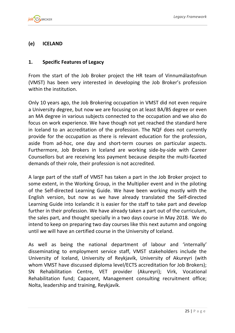

#### **(e) ICELAND**

#### **1.** Specific Features of Legacy

From the start of the Job Broker project the HR team of Vinnumálastofnun (VMST) has been very interested in developing the Job Broker's profession within the institution.

Only 10 years ago, the Job Brokering occupation in VMST did not even require a University degree, but now we are focusing on at least BA/BS degree or even an MA degree in various subjects connected to the occupation and we also do focus on work experience. We have though not yet reached the standard here in Iceland to an accreditation of the profession. The NQF does not currently provide for the occupation as there is relevant education for the profession. aside from ad-hoc, one day and short-term courses on particular aspects. Furthermore, Job Brokers in Iceland are working side-by-side with Career Counsellors but are receiving less payment because despite the multi-faceted demands of their role, their profession is not accredited.

A large part of the staff of VMST has taken a part in the Job Broker project to some extent, in the Working Group, in the Multiplier event and in the piloting of the Self-directed Learning Guide. We have been working mostly with the English version, but now as we have already translated the Self-directed Learning Guide into Icelandic it is easier for the staff to take part and develop further in their profession. We have already taken a part out of the curriculum, the sales part, and thought specially in a two days course in May 2018. We do intend to keep on preparing two day courses like this next autumn and ongoing until we will have an certified course in the University of Iceland.

As well as being the national department of labour and 'internally' disseminating to employment service staff, VMST stakeholders include the University of Iceland, University of Reykjavík, University of Akureyri (with whom VMST have discussed diploma level/ECTS accreditation for Job Brokers); SN Rehabilitation Centre, VET provider (Akureyri); Virk, Vocational Rehabilitation fund; Capacent, Management consulting recruitment office; Nolta, leadership and training, Reykjavík.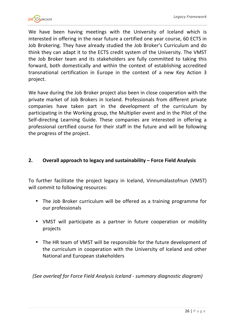

We have been having meetings with the University of Iceland which is interested in offering in the near future a certified one year course, 60 ECTS in Job Brokering. They have already studied the Job Broker's Curriculum and do think they can adapt it to the ECTS credit system of the University. The VMST the Job Broker team and its stakeholders are fully committed to taking this forward, both domestically and within the context of establishing accredited transnational certification in Europe in the context of a new Key Action 3 project.

We have during the Job Broker project also been in close cooperation with the private market of Job Brokers in Iceland. Professionals from different private companies have taken part in the development of the curriculum by participating in the Working group, the Multiplier event and in the Pilot of the Self-directing Learning Guide. These companies are interested in offering a professional certified course for their staff in the future and will be following the progress of the project.

#### **2. Overall approach to legacy and sustainability – Force Field Analysis**

To further facilitate the project legacy in Iceland, Vinnumálastofnun (VMST) will commit to following resources:

- The Job Broker curriculum will be offered as a training programme for our professionals
- VMST will participate as a partner in future cooperation or mobility projects
- The HR team of VMST will be responsible for the future development of the curriculum in cooperation with the University of Iceland and other National and European stakeholders

*(See overleaf for Force Field Analysis Iceland - summary diagnostic diagram)*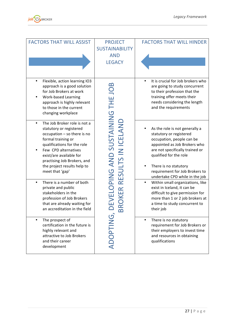

| <b>FACTORS THAT WILL ASSIST</b>                                                                                                                                                                                                                                                                                                                                                                                                  | <b>PROJECT</b><br><b>SUSTAINABILITY</b><br><b>AND</b><br><b>LEGACY</b>     | <b>FACTORS THAT WILL HINDER</b>                                                                                                                                                                                                                                                                                                                                                                                                                                          |
|----------------------------------------------------------------------------------------------------------------------------------------------------------------------------------------------------------------------------------------------------------------------------------------------------------------------------------------------------------------------------------------------------------------------------------|----------------------------------------------------------------------------|--------------------------------------------------------------------------------------------------------------------------------------------------------------------------------------------------------------------------------------------------------------------------------------------------------------------------------------------------------------------------------------------------------------------------------------------------------------------------|
| Flexible, action learning IO3<br>٠<br>approach is a good solution<br>for Job Brokers at work<br><b>Work-based Learning</b><br>approach is highly relevant<br>to those in the current<br>changing workplace                                                                                                                                                                                                                       | JOB                                                                        | It is crucial for Job brokers who<br>$\bullet$<br>are going to study concurrent<br>to their profession that the<br>training offer meets their<br>needs considering the length<br>and the requirements                                                                                                                                                                                                                                                                    |
| The Job Broker role is not a<br>٠<br>statutory or registered<br>occupation - so there is no<br>formal training or<br>qualifications for the role<br>Few CPD alternatives<br>exist/are available for<br>practising Job Brokers, and<br>the project results help to<br>meet that 'gap'<br>There is a number of both<br>٠<br>private and public<br>stakeholders in the<br>profession of Job Brokers<br>that are already waiting for | DEVELOPING AND SUSTAINING THE<br>ROKER RESULTS IN ICELAND<br><b>BROKER</b> | As the role is not generally a<br>statutory or registered<br>occupation, people can be<br>appointed as Job Brokers who<br>are not specifically trained or<br>qualified for the role<br>There is no statutory<br>requirement for Job Brokers to<br>undertake CPD while in the job<br>Within small organizations, like<br>$\bullet$<br>exist in Iceland, it can be<br>difficult to give permission for<br>more than 1 or 2 job brokers at<br>a time to study concurrent to |
| an accreditation in the field<br>The prospect of<br>$\bullet$<br>certification in the future is<br>highly relevant and<br>attractive to Job Brokers<br>and their career<br>development                                                                                                                                                                                                                                           | ADOPTING                                                                   | their job<br>There is no statutory<br>$\bullet$<br>requirement for Job Brokers or<br>their employers to invest time<br>and resources in obtaining<br>qualifications                                                                                                                                                                                                                                                                                                      |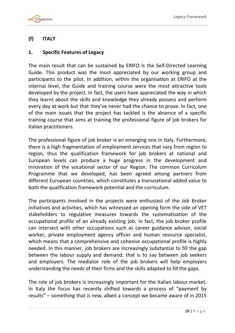

# **(f) ITALY**

#### **1. Specific Features of Legacy**

The main result that can be sustained by ERIFO is the Self-Directed Learning Guide. This product was the most appreciated by our working group and participants to the pilot. In addition, within the organisation at ERIFO at the internal level, the Guide and training course were the most attractive tools developed by the project. In fact, the users have appreciated the way in which they learnt about the skills and knowledge they already possess and perform every day at work but that they've never had the chance to prove. In fact, one of the main issues that the project has tackled is the absence of a specific training course that aims at training the professional figure of job brokers for Italian practitioners.

The professional figure of job broker is an emerging one in Italy. Furthermore, there is a high fragmentation of employment services that vary from region to region, thus the qualification framework for job brokers at national and European levels can produce a huge progress in the development and innovation of the vocational sector of our Region. The common Curriculum Programme that we developed, has been agreed among partners from different European countries, which constitutes a transnational added value to both the qualification framework potential and the curriculum.

The participants involved in the projects were enthusiast of the Job Broker initiatives and activities, which has witnessed an opening form the side of VET stakeholders to regulative measures towards the systematisation of the occupational profile of an already existing job. In fact, the job broker profile can intersect with other occupations such as career guidance advisor, social worker, private employment agency officer and human resource specialist, which means that a comprehensive and cohesive occupational profile is highly needed. In this manner, job brokers are increasingly substantial to fill the gap between the labour supply and demand; that is to say between job seekers and employers. The mediator role of the job brokers will help employers understanding the needs of their firms and the skills adapted to fill the gaps.

The role of job brokers is increasingly important for the Italian labour market. In Italy the focus has recently shifted towards a process of "payment by results" – something that is new, albeit a concept we became aware of in 2015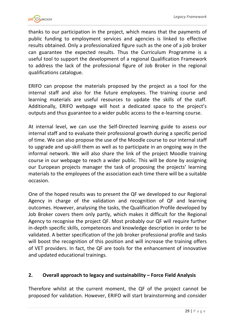

thanks to our participation in the project, which means that the payments of public funding to employment services and agencies is linked to effective results obtained. Only a professionalized figure such as the one of a job broker can guarantee the expected results. Thus the Curriculum Programme is a useful tool to support the development of a regional Qualification Framework to address the lack of the professional figure of Job Broker in the regional qualifications catalogue.

ERIFO can propose the materials proposed by the project as a tool for the internal staff and also for the future employees. The training course and learning materials are useful resources to update the skills of the staff. Additionally, ERIFO webpage will host a dedicated space to the project's outputs and thus guarantee to a wider public access to the e-learning course.

At internal level, we can use the Self-Directed learning guide to assess our internal staff and to evaluate their professional growth during a specific period of time. We can also propose the use of the Moodle course to our internal staff to upgrade and up-skill them as well as to participate in an ongoing way in the informal network. We will also share the link of the project Moodle training course in our webpage to reach a wider public. This will be done by assigning our European projects manager the task of proposing the projects' learning materials to the employees of the association each time there will be a suitable occasion.

One of the hoped results was to present the QF we developed to our Regional Agency in charge of the validation and recognition of QF and learning outcomes. However, analysing the tasks, the Qualification Profile developed by Job Broker covers them only partly, which makes it difficult for the Regional Agency to recognise the project QF. Most probably our QF will require further in-depth specific skills, competences and knowledge description in order to be validated. A better specification of the job broker professional profile and tasks will boost the recognition of this position and will increase the training offers of VET providers. In fact, the QF are tools for the enhancement of innovative and updated educational trainings.

#### **2. Overall approach to legacy and sustainability – Force Field Analysis**

Therefore whilst at the current moment, the QF of the project cannot be proposed for validation. However, ERIFO will start brainstorming and consider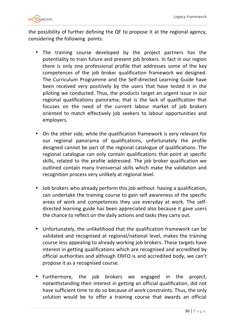

the possibility of further defining the QF to propose it at the regional agency, considering the following points:

- The training course developed by the project partners has the potentiality to train future and present job brokers. In fact in our region there is only one professional profile that addresses some of the key competences of the job broker qualification framework we designed. The Curriculum Programme and the Self-directed Learning Guide have been received very positively by the users that have tested it in the piloting we conducted. Thus, the products target an urgent issue in our regional qualifications panorama; that is the lack of qualification that focuses on the need of the current labour market of job brokers oriented to match effectively job seekers to labour opportunities and employers.
- On the other side, while the qualification framework is very relevant for our regional panorama of qualifications, unfortunately the profile designed cannot be part of the regional catalogue of qualifications. The regional catalogue can only contain qualifications that point at specific skills, related to the profile addressed. The job broker qualification we outlined contain many transversal skills which make the validation and recognition process very unlikely at regional level.
- Job brokers who already perform this job without having a qualification, can undertake the training course to gain self awareness of the specific areas of work and competences they use everyday at work. The selfdirected learning guide has been appreciated also because it gave users the chance to reflect on the daily actions and tasks they carry out.
- Unfortunately, the unlikelihood that the qualification framework can be validated and recognised at regional/national level, makes the training course less appealing to already working job brokers. These targets have interest in getting qualifications which are recognised and accredited by official authorities and although ERIFO is and accredited body, we can't propose it as a recognised course.
- Furthermore, the job brokers we engaged in the project, notwithstanding their interest in getting an official qualification, did not have sufficient time to do so because of work constraints. Thus, the only solution would be to offer a training course that awards an official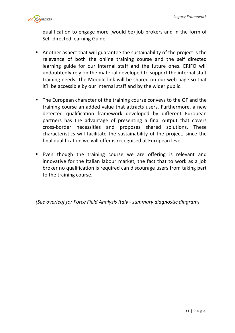

qualification to engage more (would be) job brokers and in the form of Self-directed learning Guide.

- Another aspect that will guarantee the sustainability of the project is the relevance of both the online training course and the self directed learning guide for our internal staff and the future ones. ERIFO will undoubtedly rely on the material developed to support the internal staff training needs. The Moodle link will be shared on our web page so that it'll be accessible by our internal staff and by the wider public.
- The European character of the training course conveys to the QF and the training course an added value that attracts users. Furthermore, a new detected qualification framework developed by different European partners has the advantage of presenting a final output that covers cross-border necessities and proposes shared solutions. These characteristics will facilitate the sustainability of the project, since the final qualification we will offer is recognised at European level.
- Even though the training course we are offering is relevant and innovative for the Italian labour market, the fact that to work as a job broker no qualification is required can discourage users from taking part to the training course.

*(See overleaf for Force Field Analysis Italy - summary diagnostic diagram)*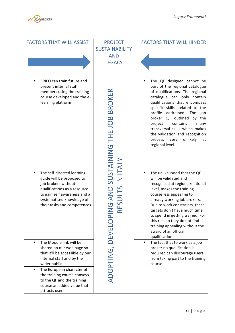

| <b>FACTORS THAT WILL ASSIST</b>                                                                                                                                                                                                             | <b>PROJECT</b><br><b>SUSTAINABILITY</b><br><b>AND</b><br><b>LEGACY</b> | <b>FACTORS THAT WILL HINDER</b>                                                                                                                                                                                                                                                                                                                                                                                                              |
|---------------------------------------------------------------------------------------------------------------------------------------------------------------------------------------------------------------------------------------------|------------------------------------------------------------------------|----------------------------------------------------------------------------------------------------------------------------------------------------------------------------------------------------------------------------------------------------------------------------------------------------------------------------------------------------------------------------------------------------------------------------------------------|
| ERIFO can train future and<br>$\bullet$<br>present internal staff<br>members using the training<br>course developed and the e-<br>learning platform                                                                                         | <b>BROKER</b><br>ING AND SUSTAINING THE JOB<br>RESULTS IN ITALY        | The QF designed cannot be<br>$\bullet$<br>part of the regional catalogue<br>of qualifications. The regional<br>catalogue can only contain<br>qualifications that encompass<br>specific skills, related to the<br>profile<br>addressed. The<br>job<br>broker QF outlined<br>by the<br>project<br>contains<br>many<br>transversal skills which makes<br>the validation and recognition<br>unlikely<br>process<br>very<br>at<br>regional level. |
| The self-directed learning<br>$\bullet$<br>guide will be proposed to<br>job brokers without<br>qualifications as a resource<br>to gain self awareness and a<br>systematised knowledge of<br>their tasks and competences                     |                                                                        | The unlikelihood that the QF<br>$\bullet$<br>will be validated and<br>recognised at regional/national<br>level, makes the training<br>course less appealing to<br>already working job brokers.<br>Due to work constraints, these<br>targets don't have much time<br>to spend in getting trained. For<br>this reason they do not find<br>training appealing without the<br>award of an official<br>qualification.                             |
| The Moodle link will be<br>$\bullet$<br>shared on our web page so<br>that it'll be accessible by our<br>internal staff and by the<br>wider public<br>The European character of<br>the training course conveys<br>to the QF and the training | ADOPTING, DEVELOP                                                      | The fact that to work as a job<br>$\bullet$<br>broker no qualification is<br>required can discourage users<br>from taking part to the training<br>course                                                                                                                                                                                                                                                                                     |
| course an added value that<br>attracts users                                                                                                                                                                                                |                                                                        |                                                                                                                                                                                                                                                                                                                                                                                                                                              |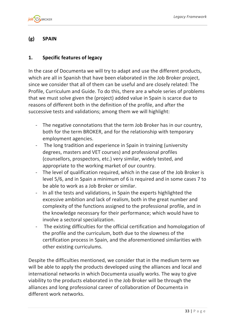

# **(g) SPAIN**

## **1.** Specific features of legacy

In the case of Documenta we will try to adapt and use the different products, which are all in Spanish that have been elaborated in the Job Broker project, since we consider that all of them can be useful and are closely related: The Profile, Curriculum and Guide. To do this, there are a whole series of problems that we must solve given the (project) added value in Spain is scarce due to reasons of different both in the definition of the profile, and after the successive tests and validations; among them we will highlight:

- The negative connotations that the term Job Broker has in our country, both for the term BROKER, and for the relationship with temporary employment agencies.
- The long tradition and experience in Spain in training (university degrees, masters and VET courses) and professional profiles (counsellors, prospectors, etc.) very similar, widely tested, and appropriate to the working market of our country.
- The level of qualification required, which in the case of the Job Broker is level 5/6, and in Spain a minimum of 6 is required and in some cases 7 to be able to work as a Job Broker or similar.
- In all the tests and validations, in Spain the experts highlighted the excessive ambition and lack of realism, both in the great number and complexity of the functions assigned to the professional profile, and in the knowledge necessary for their performance; which would have to involve a sectoral specialization.
- The existing difficulties for the official certification and homologation of the profile and the curriculum, both due to the slowness of the certification process in Spain, and the aforementioned similarities with other existing curriculums.

Despite the difficulties mentioned, we consider that in the medium term we will be able to apply the products developed using the alliances and local and international networks in which Documenta usually works. The way to give viability to the products elaborated in the Job Broker will be through the alliances and long professional career of collaboration of Documenta in different work networks.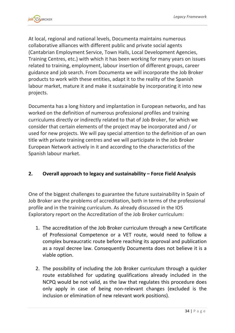

At local, regional and national levels, Documenta maintains numerous collaborative alliances with different public and private social agents (Cantabrian Employment Service, Town Halls, Local Development Agencies, Training Centres, etc.) with which it has been working for many years on issues related to training, employment, labour insertion of different groups, career guidance and job search. From Documenta we will incorporate the Job Broker products to work with these entities, adapt it to the reality of the Spanish labour market, mature it and make it sustainable by incorporating it into new projects.

Documenta has a long history and implantation in European networks, and has worked on the definition of numerous professional profiles and training curriculums directly or indirectly related to that of Job Broker, for which we consider that certain elements of the project may be incorporated and / or used for new projects. We will pay special attention to the definition of an own title with private training centres and we will participate in the Job Broker European Network actively in it and according to the characteristics of the Spanish labour market.

#### **2. Overall approach to legacy and sustainability – Force Field Analysis**

One of the biggest challenges to guarantee the future sustainability in Spain of Job Broker are the problems of accreditation, both in terms of the professional profile and in the training curriculum. As already discussed in the IO5 Exploratory report on the Accreditation of the Job Broker curriculum:

- 1. The accreditation of the Job Broker curriculum through a new Certificate of Professional Competence or a VET route, would need to follow a complex bureaucratic route before reaching its approval and publication as a royal decree law. Consequently Documenta does not believe it is a viable option.
- 2. The possibility of including the Job Broker curriculum through a quicker route established for updating qualifications already included in the NCPQ would be not valid, as the law that regulates this procedure does only apply in case of being non-relevant changes (excluded is the inclusion or elimination of new relevant work positions).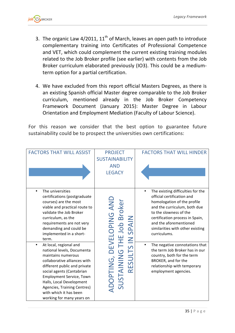

- 3. The organic Law  $4/2011$ ,  $11<sup>th</sup>$  of March, leaves an open path to introduce complementary training into Certificates of Professional Competence and VET, which could complement the current existing training modules related to the Job Broker profile (see earlier) with contents from the Job Broker curriculum elaborated previously (IO3). This could be a mediumterm option for a partial certification.
- 4. We have excluded from this report official Masters Degrees, as there is an existing Spanish official Master degree comparable to the Job Broker curriculum, mentioned already in the Job Broker Competency Framework Document (January 2015): Master Degree in Labour Orientation and Employment Mediation (Faculty of Labour Science).

For this reason we consider that the best option to guarantee future sustainability could be to prospect the universities own certifications:

| <b>FACTORS THAT WILL ASSIST</b>                                                                                                                                                                                                                                                                                                                                                                                                                                                                                                                                                                          | <b>PROJECT</b><br><b>SUSTAINABILITY</b>                                                                                                     | <b>FACTORS THAT WILL HINDER</b>                                                                                                                                                                                                                                                                                                                                                                                                                                                     |
|----------------------------------------------------------------------------------------------------------------------------------------------------------------------------------------------------------------------------------------------------------------------------------------------------------------------------------------------------------------------------------------------------------------------------------------------------------------------------------------------------------------------------------------------------------------------------------------------------------|---------------------------------------------------------------------------------------------------------------------------------------------|-------------------------------------------------------------------------------------------------------------------------------------------------------------------------------------------------------------------------------------------------------------------------------------------------------------------------------------------------------------------------------------------------------------------------------------------------------------------------------------|
|                                                                                                                                                                                                                                                                                                                                                                                                                                                                                                                                                                                                          | <b>AND</b><br><b>LEGACY</b>                                                                                                                 |                                                                                                                                                                                                                                                                                                                                                                                                                                                                                     |
| The universities<br>$\bullet$<br>certifications (postgraduate<br>courses) are the most<br>viable and practical route to<br>validate the Job Broker<br>curriculum, as the<br>requirements are not very<br>demanding and could be<br>implemented in a short-<br>term.<br>At local, regional and<br>٠<br>national levels, Documenta<br>maintains numerous<br>collaborative alliances with<br>different public and private<br>social agents (Cantabrian<br><b>Employment Service, Town</b><br>Halls, Local Development<br>Agencies, Training Centres)<br>with which it has been<br>working for many years on | DEVELOPING AN<br>Job Broke<br>SPAIN<br>$\overline{\mathbf{u}}$<br>$\geq$<br><b>SUSTAINING</b><br>ADOPTING,<br>ES<br>$\overline{\mathbf{r}}$ | The existing difficulties for the<br>$\bullet$<br>official certification and<br>homologation of the profile<br>and the curriculum, both due<br>to the slowness of the<br>certification process in Spain,<br>and the aforementioned<br>similarities with other existing<br>curriculums.<br>The negative connotations that<br>$\bullet$<br>the term Job Broker has in our<br>country, both for the term<br>BROKER, and for the<br>relationship with temporary<br>employment agencies. |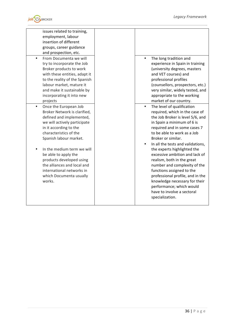

| issues related to training,<br>employment, labour<br>insertion of different<br>groups, career guidance<br>and prospection, etc.<br>From Documenta we will<br>$\bullet$<br>try to incorporate the Job<br>Broker products to work<br>with these entities, adapt it                                                                                                                        | The long tradition and<br>$\bullet$<br>experience in Spain in training<br>(university degrees, masters<br>and VET courses) and                                                                                                                                                                                                                                                                                                                                                                                                                                                      |
|-----------------------------------------------------------------------------------------------------------------------------------------------------------------------------------------------------------------------------------------------------------------------------------------------------------------------------------------------------------------------------------------|-------------------------------------------------------------------------------------------------------------------------------------------------------------------------------------------------------------------------------------------------------------------------------------------------------------------------------------------------------------------------------------------------------------------------------------------------------------------------------------------------------------------------------------------------------------------------------------|
| to the reality of the Spanish<br>labour market, mature it<br>and make it sustainable by<br>incorporating it into new<br>projects                                                                                                                                                                                                                                                        | professional profiles<br>(counsellors, prospectors, etc.)<br>very similar, widely tested, and<br>appropriate to the working<br>market of our country.                                                                                                                                                                                                                                                                                                                                                                                                                               |
| Once the European Job<br>٠<br>Broker Network is clarified,<br>defined and implemented,<br>we will actively participate<br>in it according to the<br>characteristics of the<br>Spanish labour market.<br>In the medium term we will<br>be able to apply the<br>products developed using<br>the alliances and local and<br>international networks in<br>which Documenta usually<br>works. | The level of qualification<br>$\bullet$<br>required, which in the case of<br>the Job Broker is level 5/6, and<br>in Spain a minimum of 6 is<br>required and in some cases 7<br>to be able to work as a Job<br>Broker or similar.<br>In all the tests and validations,<br>the experts highlighted the<br>excessive ambition and lack of<br>realism, both in the great<br>number and complexity of the<br>functions assigned to the<br>professional profile, and in the<br>knowledge necessary for their<br>performance; which would<br>have to involve a sectoral<br>specialization. |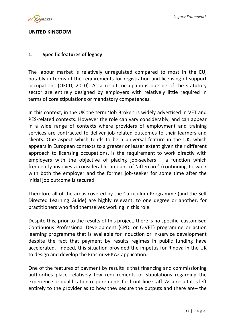

#### **UNITED KINGDOM**

#### 1. Specific features of legacy

The labour market is relatively unregulated compared to most in the EU, notably in terms of the requirements for registration and licensing of support occupations (OECD, 2010). As a result, occupations outside of the statutory sector are entirely designed by employers with relatively little required in terms of core stipulations or mandatory competences.

In this context, in the UK the term 'Job Broker' is widely advertised in VET and PES-related contexts. However the role can vary considerably, and can appear in a wide range of contexts where providers of employment and training services are contracted to deliver job-related outcomes to their learners and clients. One aspect which tends to be a universal feature in the UK, which appears in European contexts to a greater or lesser extent given their different approach to licensing occupations, is the requirement to work directly with employers with the objective of placing job-seekers  $-$  a function which frequently involves a considerable amount of 'aftercare' (continuing to work with both the employer and the former job-seeker for some time after the initial job outcome is secured.

Therefore all of the areas covered by the Curriculum Programme (and the Self Directed Learning Guide) are highly relevant, to one degree or another, for practitioners who find themselves working in this role.

Despite this, prior to the results of this project, there is no specific, customised Continuous Professional Development (CPD, or C-VET) programme or action learning programme that is available for induction or in-service development despite the fact that payment by results regimes in public funding have accelerated. Indeed, this situation provided the impetus for Rinova in the UK to design and develop the Erasmus+ KA2 application.

One of the features of payment by results is that financing and commissioning authorities place relatively few requirements or stipulations regarding the experience or qualification requirements for front-line staff. As a result it is left entirely to the provider as to how they secure the outputs and there are– the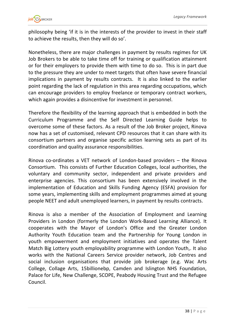

philosophy being 'if it is in the interests of the provider to invest in their staff to achieve the results, then they will do so'.

Nonetheless, there are major challenges in payment by results regimes for UK Job Brokers to be able to take time off for training or qualification attainment or for their employers to provide them with time to do so. This is in part due to the pressure they are under to meet targets that often have severe financial implications in payment by results contracts. It is also linked to the earlier point regarding the lack of regulation in this area regarding occupations, which can encourage providers to employ freelance or temporary contract workers, which again provides a disincentive for investment in personnel.

Therefore the flexibility of the learning approach that is embedded in both the Curriculum Programme and the Self Directed Learning Guide helps to overcome some of these factors. As a result of the Job Broker project, Rinova now has a set of customised, relevant CPD resources that it can share with its consortium partners and organise specific action learning sets as part of its coordination and quality assurance responsibilities.

Rinova co-ordinates a VET network of London-based providers  $-$  the Rinova Consortium. This consists of Further Education Colleges, local authorities, the voluntary and community sector, independent and private providers and enterprise agencies. This consortium has been extensively involved in the implementation of Education and Skills Funding Agency (ESFA) provision for some years, implementing skills and employment programmes aimed at young people NEET and adult unemployed learners, in payment by results contracts.

Rinova is also a member of the Association of Employment and Learning Providers in London (formerly the London Work-Based Learning Alliance). It cooperates with the Mayor of London's Office and the Greater London Authority Youth Education team and the Partnership for Young London in youth empowerment and employment initiatives and operates the Talent Match Big Lottery youth employability programme with London Youth,. It also works with the National Careers Service provider network, Job Centres and social inclusion organisations that provide job brokerage (e.g. Wac Arts College, Collage Arts, 15billionebp, Camden and Islington NHS Foundation, Palace for Life, New Challenge, SCOPE, Peabody Housing Trust and the Refugee Council.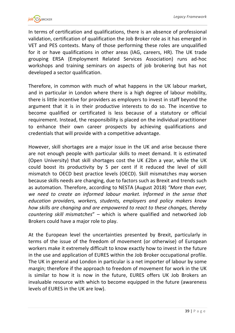

In terms of certification and qualifications, there is an absence of professional validation, certification of qualification the Job Broker role as it has emerged in VET and PES contexts. Many of those performing these roles are unqualified for it or have qualifications in other areas (IAG, careers, HR). The UK trade grouping ERSA (Employment Related Services Association) runs ad-hoc workshops and training seminars on aspects of job brokering but has not developed a sector qualification.

Therefore, in common with much of what happens in the UK labour market, and in particular in London where there is a high degree of labour mobility, there is little incentive for providers as employers to invest in staff beyond the argument that it is in their productive interests to do so. The incentive to become qualified or certificated is less because of a statutory or official requirement. Instead, the responsibility is placed on the individual practitioner to enhance their own career prospects by achieving qualifications and credentials that will provide with a competitive advantage.

However, skill shortages are a major issue in the UK and arise because there are not enough people with particular skills to meet demand. It is estimated (Open University) that skill shortages cost the UK £2bn a year, while the UK could boost its productivity by 5 per cent if it reduced the level of skill mismatch to OECD best practice levels (OECD). Skill mismatches may worsen because skills needs are changing, due to factors such as Brexit and trends such as automation. Therefore, according to NESTA (August 2018) *"More than ever,* we need to create an informed labour market. Informed in the sense that education providers, workers, students, employers and policy makers know *how* skills are changing and are empowered to react to these changes, thereby *countering skill mismatches*" – which is where qualified and networked Job Brokers could have a major role to play.

At the European level the uncertainties presented by Brexit, particularly in terms of the issue of the freedom of movement (or otherwise) of European workers make it extremely difficult to know exactly how to invest in the future in the use and application of EURES within the Job Broker occupational profile. The UK in general and London in particular is a net importer of labour by some margin; therefore if the approach to freedom of movement for work in the UK is similar to how it is now in the future, EURES offers UK Job Brokers an invaluable resource with which to become equipped in the future (awareness levels of EURES in the UK are low).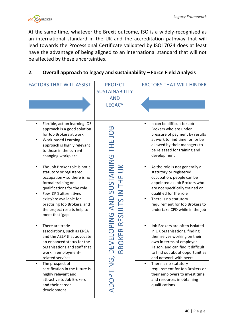

At the same time, whatever the Brexit outcome, ISO is a widely-recognised as an international standard in the UK and the accreditation pathway that will lead towards the Processional Certificate validated by ISO17024 does at least have the advantage of being aligned to an international standard that will not be affected by these uncertainties.

## **2. Overall approach to legacy and sustainability – Force Field Analysis**

| <b>FACTORS THAT WILL ASSIST</b>                                                                                                                                                                                                                                                              | <b>PROJECT</b><br><b>SUSTAINABILITY</b><br><b>AND</b><br><b>LEGACY</b> | <b>FACTORS THAT WILL HINDER</b>                                                                                                                                                                                                                                                               |
|----------------------------------------------------------------------------------------------------------------------------------------------------------------------------------------------------------------------------------------------------------------------------------------------|------------------------------------------------------------------------|-----------------------------------------------------------------------------------------------------------------------------------------------------------------------------------------------------------------------------------------------------------------------------------------------|
| Flexible, action learning IO3<br>٠<br>approach is a good solution<br>for Job Brokers at work<br>Work-based Learning<br>approach is highly relevant<br>to those in the current<br>changing workplace                                                                                          | <b>SOL</b>                                                             | It can be difficult for Job<br>$\bullet$<br>Brokers who are under<br>pressure of payment by results<br>at work to find time for, or be<br>allowed by their managers to<br>be released for training and<br>development                                                                         |
| The Job Broker role is not a<br>$\bullet$<br>statutory or registered<br>occupation - so there is no<br>formal training or<br>qualifications for the role<br>Few CPD alternatives<br>exist/are available for<br>practising Job Brokers, and<br>the project results help to<br>meet that 'gap' | DEVELOPING AND SUSTAINING THE<br>BROKER RESULTS IN THE UK              | As the role is not generally a<br>$\bullet$<br>statutory or registered<br>occupation, people can be<br>appointed as Job Brokers who<br>are not specifically trained or<br>qualified for the role<br>There is no statutory<br>requirement for Job Brokers to<br>undertake CPD while in the job |
| There are trade<br>٠<br>associations, such as ERSA<br>and the AELP that advocate<br>an enhanced status for the<br>organisations and staff that<br>work in employment-<br>related services                                                                                                    | <b>BROKER</b>                                                          | Job Brokers are often isolated<br>$\bullet$<br>in UK organisations, finding<br>themselves working on their<br>own in terms of employer<br>liaison, and can find it difficult<br>to find out about opportunities<br>and network with peers                                                     |
| The prospect of<br>$\bullet$<br>certification in the future is<br>highly relevant and<br>attractive to Job Brokers<br>and their career<br>development                                                                                                                                        | ADOPTING                                                               | There is no statutory<br>requirement for Job Brokers or<br>their employers to invest time<br>and resources in obtaining<br>qualifications                                                                                                                                                     |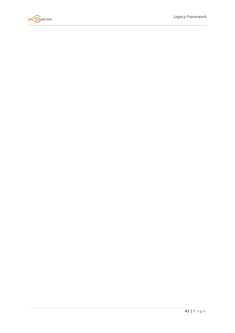

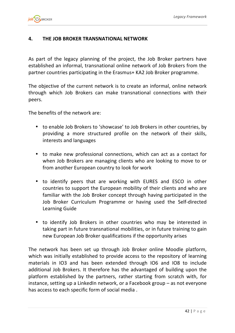

#### **4. THE JOB BROKER TRANSNATIONAL NETWORK**

As part of the legacy planning of the project, the Job Broker partners have established an informal, transnational online network of Job Brokers from the partner countries participating in the Erasmus+ KA2 Job Broker programme.

The objective of the current network is to create an informal, online network through which Job Brokers can make transnational connections with their peers. 

The benefits of the network are:

- to enable Job Brokers to 'showcase' to Job Brokers in other countries, by providing a more structured profile on the network of their skills, interests and languages
- to make new professional connections, which can act as a contact for when Job Brokers are managing clients who are looking to move to or from another European country to look for work
- to identify peers that are working with EURES and ESCO in other countries to support the European mobility of their clients and who are familiar with the Job Broker concept through having participated in the Job Broker Curriculum Programme or having used the Self-directed Learning Guide
- to identify Job Brokers in other countries who may be interested in taking part in future transnational mobilities, or in future training to gain new European Job Broker qualifications if the opportunity arises

The network has been set up through Job Broker online Moodle platform, which was initially established to provide access to the repository of learning materials in IO3 and has been extended through IO6 and IO8 to include additional Job Brokers. It therefore has the advantaged of building upon the platform established by the partners, rather starting from scratch with, for instance, setting up a LinkedIn network, or a Facebook group  $-$  as not everyone has access to each specific form of social media.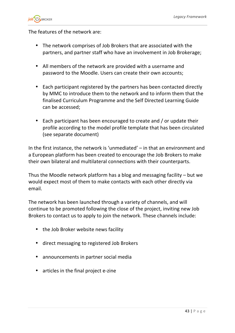

#### The features of the network are:

- The network comprises of Job Brokers that are associated with the partners, and partner staff who have an involvement in Job Brokerage;
- All members of the network are provided with a username and password to the Moodle. Users can create their own accounts;
- Each participant registered by the partners has been contacted directly by MMC to introduce them to the network and to inform them that the finalised Curriculum Programme and the Self Directed Learning Guide can be accessed:
- Each participant has been encouraged to create and / or update their profile according to the model profile template that has been circulated (see separate document)

In the first instance, the network is 'unmediated'  $-$  in that an environment and a European platform has been created to encourage the Job Brokers to make their own bilateral and multilateral connections with their counterparts.

Thus the Moodle network platform has a blog and messaging facility  $-$  but we would expect most of them to make contacts with each other directly via email.

The network has been launched through a variety of channels, and will continue to be promoted following the close of the project, inviting new Job Brokers to contact us to apply to join the network. These channels include:

- the Job Broker website news facility
- direct messaging to registered Job Brokers
- announcements in partner social media
- articles in the final project e-zine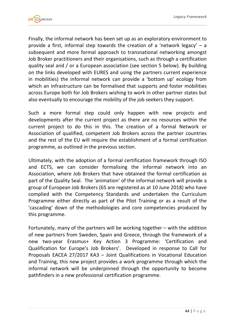

Finally, the informal network has been set up as an exploratory environment to provide a first, informal step towards the creation of a 'network legacy'  $-$  a subsequent and more formal approach to transnational networking amongst Job Broker practitioners and their organisations, such as through a certification quality seal and / or a European association (see section 5 below). By building on the links developed with EURES and using the partners current experience in mobilities) the informal network can provide a 'bottom up' ecology from which an infrastructure can be formalised that supports and foster mobilities across Europe both for Job Brokers wishing to work in other partner states but also eventually to encourage the mobility of the job seekers they support.

Such a more formal step could only happen with new projects and developments after the current project as there are no resources within the current proiect to do this in this. The creation of a formal Network or Association of qualified, competent Job Brokers across the partner countries and the rest of the EU will require the establishment of a formal certification programme, as outlined in the previous section.

Ultimately, with the adoption of a formal certification framework through ISO and ECTS, we can consider formalising the informal network into an Association, where Job Brokers that have obtained the formal certification as part of the Quality Seal. The 'animation' of the informal network will provide a group of European Job Brokers (65 are registered as at 10 June 2018) who have complied with the Competency Standards and undertaken the Curriculum Programme either directly as part of the Pilot Training or as a result of the 'cascading' down of the methodologies and core competencies produced by this programme.

Fortunately, many of the partners will be working together  $-$  with the addition of new partners from Sweden, Spain and Greece, through the framework of a new two-year Erasmus+ Key Action 3 Programme: 'Certification and Qualification for Europe's Job Brokers'. Developed in response to Call for Proposals EACEA 27/2017 KA3  $-$  Joint Qualifications in Vocational Education and Training, this new project provides a work programme through which the informal network will be underpinned through the opportunity to become pathfinders in a new professional certification programme.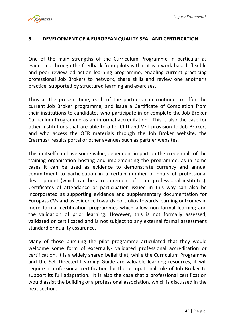

#### **5. DEVELOPMENT OF A EUROPEAN QUALITY SEAL AND CERTIFICATION**

One of the main strengths of the Curriculum Programme in particular as evidenced through the feedback from pilots is that it is a work-based, flexible and peer review-led action learning programme, enabling current practicing professional Job Brokers to network, share skills and review one another's practice, supported by structured learning and exercises.

Thus at the present time, each of the partners can continue to offer the current Job Broker programme, and issue a Certificate of Completion from their institutions to candidates who participate in or complete the Job Broker Curriculum Programme as an informal accreditation. This is also the case for other institutions that are able to offer CPD and VET provision to Job Brokers and who access the OER materials through the Job Broker website, the Erasmus+ results portal or other avenues such as partner websites.

This in itself can have some value, dependent in part on the credentials of the training organisation hosting and implementing the programme, as in some cases it can be used as evidence to demonstrate currency and annual commitment to participation in a certain number of hours of professional development (which can be a requirement of some professional institutes). Certificates of attendance or participation issued in this way can also be incorporated as supporting evidence and supplementary documentation for Europass CVs and as evidence towards portfolios towards learning outcomes in more formal certification programmes which allow non-formal learning and the validation of prior learning. However, this is not formally assessed, validated or certificated and is not subject to any external formal assessment standard or quality assurance.

Many of those pursuing the pilot programme articulated that they would welcome some form of externally- validated professional accreditation or certification. It is a widely shared belief that, while the Curriculum Programme and the Self-Directed Learning Guide are valuable learning resources, it will require a professional certification for the occupational role of Job Broker to support its full adaptation. It is also the case that a professional certification would assist the building of a professional association, which is discussed in the next section.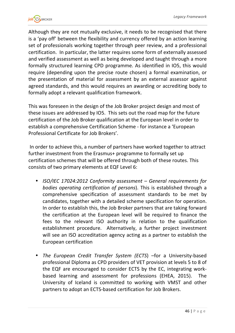

Although they are not mutually exclusive, it needs to be recognised that there is a 'pay off' between the flexibility and currency offered by an action learning set of professionals working together through peer review, and a professional certification. In particular, the latter requires some form of externally assessed and verified assessment as well as being developed and taught through a more formally structured learning CPD programme. As identified in IO5, this would require (depending upon the precise route chosen) a formal examination, or the presentation of material for assessment by an external assessor against agreed standards, and this would requires an awarding or accrediting body to formally adopt a relevant qualification framework.

This was foreseen in the design of the Job Broker project design and most of these issues are addressed by IO5. This sets out the road map for the future certification of the Job Broker qualification at the European level in order to establish a comprehensive Certification Scheme - for instance a 'European Professional Certificate for Job Brokers'

In order to achieve this, a number of partners have worked together to attract further investment from the Erasmus+ programme to formally set up certification schemes that will be offered through both of these routes. This consists of two primary elements at EQF Level 6:

- *ISO/IEC 17024:2012 Conformity assessment General requirements for bodies operating certification of persons*). This is established through a comprehensive specification of assessment standards to be met by candidates, together with a detailed scheme specification for operation. In order to establish this, the Job Broker partners that are taking forward the certification at the European level will be required to finance the fees to the relevant ISO authority in relation to the qualification establishment procedure. Alternatively, a further project investment will see an ISO accreditation agency acting as a partner to establish the European certification
- *The European Credit Transfer System (ECTS)* –for a University-based professional Diploma as CPD providers of VET provision at levels 5 to 8 of the EQF are encouraged to consider ECTS by the EC, integrating workbased learning and assessment for professions (EHEA, 2015). The University of Iceland is committed to working with VMST and other partners to adopt an ECTS-based certification for Job Brokers.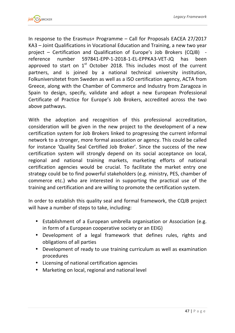

In response to the Erasmus+ Programme  $-$  Call for Proposals EACEA 27/2017 KA3 – Joint Qualifications in Vocational Education and Training, a new two year project  $-$  Certification and Qualification of Europe's Job Brokers (CQJB) reference number 597841-EPP-1-2018-1-EL-EPPKA3-VET-JQ has been approved to start on  $1<sup>st</sup>$  October 2018. This includes most of the current partners, and is joined by a national technical university institution, Folkuniversitetet from Sweden as well as a ISO certification agency, ACTA from Greece, along with the Chamber of Commerce and Industry from Zaragoza in Spain to design, specify, validate and adopt a new European Professional Certificate of Practice for Europe's Job Brokers, accredited across the two above pathways.

With the adoption and recognition of this professional accreditation, consideration will be given in the new project to the development of a new certification system for Job Brokers linked to progressing the current informal network to a stronger, more formal association or agency. This could be called for instance 'Quality Seal Certified Job Broker'. Since the success of the new certification system will strongly depend on its social acceptance on local, regional and national training markets, marketing efforts of national certification agencies would be crucial. To facilitate the market entry one strategy could be to find powerful stakeholders (e.g. ministry, PES, chamber of commerce etc.) who are interested in supporting the practical use of the training and certification and are willing to promote the certification system.

In order to establish this quality seal and formal framework, the CQJB project will have a number of steps to take, including:

- Establishment of a European umbrella organisation or Association (e.g. in form of a European cooperative society or an EEIG)
- Development of a legal framework that defines rules, rights and obligations of all parties
- Development of ready to use training curriculum as well as examination procedures
- Licensing of national certification agencies
- Marketing on local, regional and national level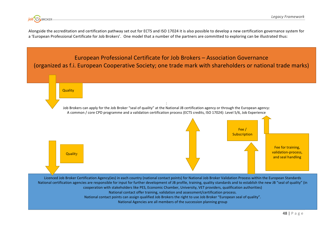

Alongside the accreditation and certification pathway set out for ECTS and ISO 17024 it is also possible to develop a new certification governance system for a 'European Professional Certificate for Job Brokers'. One model that a number of the partners are committed to exploring can be illustrated thus:

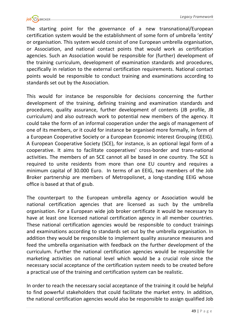

The starting point for the governance of a new transnational/European certification system would be the establishment of some form of umbrella 'entity' or organisation. This system would consist of one European umbrella organisation, or Association, and national contact points that would work as certification agencies. Such an Association would be responsible for (further) development of the training curriculum, development of examination standards and procedures, specifically in relation to the external certification requirements. National contact points would be responsible to conduct training and examinations according to standards set out by the Association.

This would for instance be responsible for decisions concerning the further development of the training, defining training and examination standards and procedures, quality assurance, further development of contents (JB profile, JB curriculum) and also outreach work to potential new members of the agency. It could take the form of an informal cooperation under the aegis of management of one of its members, or it could for instance be organised more formally, in form of a European Cooperative Society or a European Economic interest Grouping (EEIG). A European Cooperative Society (SCE), for instance, is an optional legal form of a cooperative. It aims to facilitate cooperatives' cross-border and trans-national activities. The members of an SCE cannot all be based in one country. The SCE is required to unite residents from more than one EU country and requires a minimum capital of 30.000 Euro. In terms of an EEIG, two members of the Job Broker partnership are members of Metropolisnet, a long-standing EEIG whose office is based at that of gsub.

The counterpart to the European umbrella agency or Association would be national certification agencies that are licensed as such by the umbrella organisation. For a European wide job broker certificate it would be necessary to have at least one licensed national certification agency in all member countries. These national certification agencies would be responsible to conduct trainings and examinations according to standards set out by the umbrella organisation. In addition they would be responsible to implement quality assurance measures and feed the umbrella organisation with feedback on the further development of the curriculum. Further the national certification agencies would be responsible for marketing activities on national level which would be a crucial role since the necessary social acceptance of the certification system needs to be created before a practical use of the training and certification system can be realistic.

In order to reach the necessary social acceptance of the training it could be helpful to find powerful stakeholders that could facilitate the market entry. In addition, the national certification agencies would also be responsible to assign qualified Job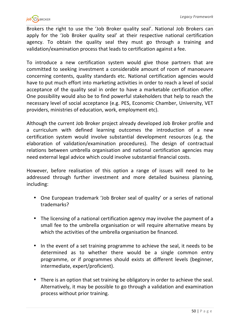

Brokers the right to use the 'Job Broker quality seal'. National Job Brokers can apply for the 'Job Broker quality seal' at their respective national certification agency. To obtain the quality seal they must go through a training and validation/examination process that leads to certification against a fee.

To introduce a new certification system would give those partners that are committed to seeking investment a considerable amount of room of manoeuvre concerning contents, quality standards etc. National certification agencies would have to put much effort into marketing activities in order to reach a level of social acceptance of the quality seal in order to have a marketable certification offer. One possibility would also be to find powerful stakeholders that help to reach the necessary level of social acceptance (e.g. PES, Economic Chamber, University, VET providers, ministries of education, work, employment etc).

Although the current Job Broker project already developed Job Broker profile and a curriculum with defined learning outcomes the introduction of a new certification system would involve substantial development resources (e.g. the elaboration of validation/examination procedures). The design of contractual relations between umbrella organisation and national certification agencies may need external legal advice which could involve substantial financial costs.

However, before realisation of this option a range of issues will need to be addressed through further investment and more detailed business planning, including: 

- One European trademark 'Job Broker seal of quality' or a series of national trademarks?
- The licensing of a national certification agency may involve the payment of a small fee to the umbrella organisation or will require alternative means by which the activities of the umbrella organisation be financed.
- In the event of a set training programme to achieve the seal, it needs to be determined as to whether there would be a single common entry programme, or if programmes should exists at different levels (beginner, intermediate, expert/proficient).
- There is an option that set training be obligatory in order to achieve the seal. Alternatively, it may be possible to go through a validation and examination process without prior training.